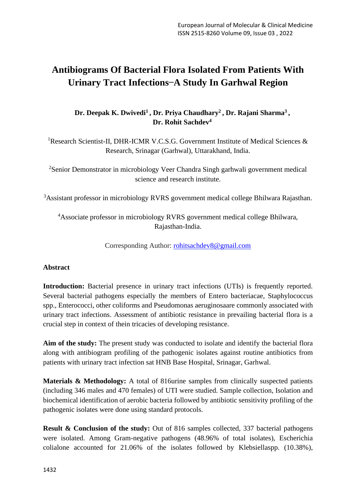# **Antibiograms Of Bacterial Flora Isolated From Patients With Urinary Tract Infections ̶A Study In Garhwal Region**

**Dr. Deepak K. Dwivedi<sup>1</sup> , Dr. Priya Chaudhary<sup>2</sup> , Dr. Rajani Sharma<sup>3</sup> , Dr. Rohit Sachdev<sup>4</sup>**

<sup>1</sup>Research Scientist-II, DHR-ICMR V.C.S.G. Government Institute of Medical Sciences & Research, Srinagar (Garhwal), Uttarakhand, India.

<sup>2</sup>Senior Demonstrator in microbiology Veer Chandra Singh garhwali government medical science and research institute.

<sup>3</sup>Assistant professor in microbiology RVRS government medical college Bhilwara Rajasthan.

<sup>4</sup>Associate professor in microbiology RVRS government medical college Bhilwara, Rajasthan-India.

Corresponding Author: [rohitsachdev8@gmail.com](mailto:rohitsachdev8@gmail.com)

# **Abstract**

**Introduction:** Bacterial presence in urinary tract infections (UTIs) is frequently reported. Several bacterial pathogens especially the members of Entero bacteriacae, Staphylococcus spp., Enterococci, other coliforms and Pseudomonas aeruginosaare commonly associated with urinary tract infections. Assessment of antibiotic resistance in prevailing bacterial flora is a crucial step in context of thein tricacies of developing resistance.

**Aim of the study:** The present study was conducted to isolate and identify the bacterial flora along with antibiogram profiling of the pathogenic isolates against routine antibiotics from patients with urinary tract infection sat HNB Base Hospital, Srinagar, Garhwal.

**Materials & Methodology:** A total of 816urine samples from clinically suspected patients (including 346 males and 470 females) of UTI were studied. Sample collection, Isolation and biochemical identification of aerobic bacteria followed by antibiotic sensitivity profiling of the pathogenic isolates were done using standard protocols.

**Result & Conclusion of the study:** Out of 816 samples collected, 337 bacterial pathogens were isolated. Among Gram-negative pathogens (48.96% of total isolates), Escherichia colialone accounted for 21.06% of the isolates followed by Klebsiellaspp. (10.38%),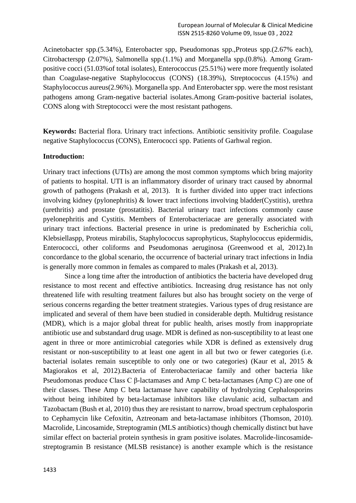Acinetobacter spp.(5.34%), Enterobacter spp, Pseudomonas spp.,Proteus spp.(2.67% each), Citrobacterspp (2.07%), Salmonella spp.(1.1%) and Morganella spp.(0.8%). Among Grampositive cocci (51.03%of total isolates), Enterococcus (25.51%) were more frequently isolated than Coagulase-negative Staphylococcus (CONS) (18.39%), Streptococcus (4.15%) and Staphylococcus aureus(2.96%). Morganella spp. And Enterobacter spp. were the most resistant pathogens among Gram-negative bacterial isolates.Among Gram-positive bacterial isolates, CONS along with Streptococci were the most resistant pathogens.

**Keywords:** Bacterial flora. Urinary tract infections. Antibiotic sensitivity profile. Coagulase negative Staphylococcus (CONS), Enterococci spp. Patients of Garhwal region.

## **Introduction:**

Urinary tract infections (UTIs) are among the most common symptoms which bring majority of patients to hospital. UTI is an inflammatory disorder of urinary tract caused by abnormal growth of pathogens (Prakash et al, 2013). It is further divided into upper tract infections involving kidney (pylonephritis) & lower tract infections involving bladder(Cystitis), urethra (urethritis) and prostate (prostatitis). Bacterial urinary tract infections commonly cause pyelonephritis and Cystitis. Members of Enterobacteriacae are generally associated with urinary tract infections. Bacterial presence in urine is predominated by Escherichia coli, Klebsiellaspp, Proteus mirabilis, Staphylococcus saprophyticus, Staphylococcus epidermidis, Enterococci, other coliforms and Pseudomonas aeruginosa (Greenwood et al, 2012).In concordance to the global scenario, the occurrence of bacterial urinary tract infections in India is generally more common in females as compared to males (Prakash et al, 2013).

Since a long time after the introduction of antibiotics the bacteria have developed drug resistance to most recent and effective antibiotics. Increasing drug resistance has not only threatened life with resulting treatment failures but also has brought society on the verge of serious concerns regarding the better treatment strategies. Various types of drug resistance are implicated and several of them have been studied in considerable depth. Multidrug resistance (MDR), which is a major global threat for public health, arises mostly from inappropriate antibiotic use and substandard drug usage. MDR is defined as non-susceptibility to at least one agent in three or more antimicrobial categories while XDR is defined as extensively drug resistant or non-susceptibility to at least one agent in all but two or fewer categories (i.e. bacterial isolates remain susceptible to only one or two categories) (Kaur et al, 2015 & Magiorakos et al, 2012).Bacteria of Enterobacteriacae family and other bacteria like Pseudomonas produce Class C β-lactamases and Amp C beta-lactamases (Amp C) are one of their classes. These Amp C beta lactamase have capability of hydrolyzing Cephalosporins without being inhibited by beta-lactamase inhibitors like clavulanic acid, sulbactam and Tazobactam (Bush et al, 2010) thus they are resistant to narrow, broad spectrum cephalosporin to Cephamycin like Cefoxitin, Aztreonam and beta-lactamase inhibitors (Thomson, 2010). Macrolide, Lincosamide, Streptogramin (MLS antibiotics) though chemically distinct but have similar effect on bacterial protein synthesis in gram positive isolates. Macrolide-lincosamidestreptogramin B resistance (MLSB resistance) is another example which is the resistance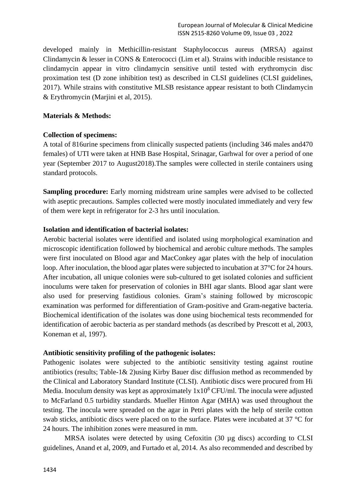developed mainly in Methicillin-resistant Staphylococcus aureus (MRSA) against Clindamycin & lesser in CONS & Enterococci (Lim et al). Strains with inducible resistance to clindamycin appear in vitro clindamycin sensitive until tested with erythromycin disc proximation test (D zone inhibition test) as described in CLSI guidelines (CLSI guidelines, 2017). While strains with constitutive MLSB resistance appear resistant to both Clindamycin & Erythromycin (Marjini et al, 2015).

# **Materials & Methods:**

# **Collection of specimens:**

A total of 816urine specimens from clinically suspected patients (including 346 males and470 females) of UTI were taken at HNB Base Hospital, Srinagar, Garhwal for over a period of one year (September 2017 to August2018).The samples were collected in sterile containers using standard protocols.

**Sampling procedure:** Early morning midstream urine samples were advised to be collected with aseptic precautions. Samples collected were mostly inoculated immediately and very few of them were kept in refrigerator for 2-3 hrs until inoculation.

## **Isolation and identification of bacterial isolates:**

Aerobic bacterial isolates were identified and isolated using morphological examination and microscopic identification followed by biochemical and aerobic culture methods. The samples were first inoculated on Blood agar and MacConkey agar plates with the help of inoculation loop. After inoculation, the blood agar plates were subjected to incubation at 37°C for 24 hours. After incubation, all unique colonies were sub-cultured to get isolated colonies and sufficient inoculums were taken for preservation of colonies in BHI agar slants. Blood agar slant were also used for preserving fastidious colonies. Gram's staining followed by microscopic examination was performed for differentiation of Gram-positive and Gram-negative bacteria. Biochemical identification of the isolates was done using biochemical tests recommended for identification of aerobic bacteria as per standard methods (as described by Prescott et al, 2003, Koneman et al, 1997).

#### **Antibiotic sensitivity profiling of the pathogenic isolates:**

Pathogenic isolates were subjected to the antibiotic sensitivity testing against routine antibiotics (results; Table-1& 2)using Kirby Bauer disc diffusion method as recommended by the Clinical and Laboratory Standard Institute (CLSI). Antibiotic discs were procured from Hi Media. Inoculum density was kept as approximately  $1x10^8$  CFU/ml. The inocula were adjusted to McFarland 0.5 turbidity standards. Mueller Hinton Agar (MHA) was used throughout the testing. The inocula were spreaded on the agar in Petri plates with the help of sterile cotton swab sticks, antibiotic discs were placed on to the surface. Plates were incubated at 37 °C for 24 hours. The inhibition zones were measured in mm.

MRSA isolates were detected by using Cefoxitin (30 µg discs) according to CLSI guidelines, Anand et al, 2009, and Furtado et al, 2014. As also recommended and described by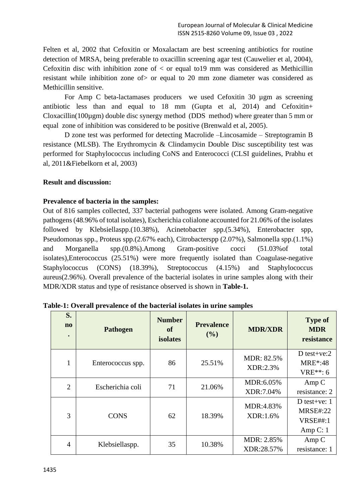Felten et al, 2002 that Cefoxitin or Moxalactam are best screening antibiotics for routine detection of MRSA, being preferable to oxacillin screening agar test (Cauwelier et al, 2004), Cefoxitin disc with inhibition zone of  $\lt$  or equal to 19 mm was considered as Methicillin resistant while inhibition zone of> or equal to 20 mm zone diameter was considered as Methicillin sensitive.

For Amp C beta-lactamases producers we used Cefoxitin 30 µgm as screening antibiotic less than and equal to 18 mm (Gupta et al, 2014) and Cefoxitin+ Cloxacillin(100µgm) double disc synergy method (DDS method) where greater than 5 mm or equal zone of inhibition was considered to be positive (Brenwald et al, 2005).

D zone test was performed for detecting Macrolide –Lincosamide – Streptogramin B resistance (MLSB). The Erythromycin & Clindamycin Double Disc susceptibility test was performed for Staphylococcus including CoNS and Enterococci (CLSI guidelines, Prabhu et al, 2011&Fiebelkorn et al, 2003)

#### **Result and discussion:**

## **Prevalence of bacteria in the samples:**

Out of 816 samples collected, 337 bacterial pathogens were isolated. Among Gram-negative pathogens (48.96% of total isolates), Escherichia colialone accounted for 21.06% of the isolates followed by Klebsiellaspp.(10.38%), Acinetobacter spp.(5.34%), Enterobacter spp, Pseudomonas spp., Proteus spp.(2.67% each), Citrobacterspp (2.07%), Salmonella spp.(1.1%) and Morganella spp.(0.8%).Among Gram-positive cocci (51.03%of total isolates),Enterococcus (25.51%) were more frequently isolated than Coagulase-negative Staphylococcus (CONS) (18.39%), Streptococcus (4.15%) and Staphylococcus aureus(2.96%). Overall prevalence of the bacterial isolates in urine samples along with their MDR/XDR status and type of resistance observed is shown in **Table-1.**

| S.<br>$\mathbf{n}\mathbf{o}$<br>$\bullet$ | <b>Pathogen</b>   | <b>Number</b><br>of<br>isolates | <b>Prevalence</b><br>$($ %) | <b>MDR/XDR</b>           | <b>Type of</b><br><b>MDR</b><br>resistance                         |
|-------------------------------------------|-------------------|---------------------------------|-----------------------------|--------------------------|--------------------------------------------------------------------|
| 1                                         | Enterococcus spp. | 86                              | 25.51%                      | MDR: 82.5%<br>XDR:2.3%   | D test+ve: $2$<br><b>MRE</b> *:48<br>$VRE**: 6$                    |
| $\overline{2}$                            | Escherichia coli  | 71                              | 21.06%                      | MDR:6.05%<br>XDR:7.04%   | Amp C<br>resistance: 2                                             |
| 3                                         | <b>CONS</b>       | 62                              | 18.39%                      | MDR:4.83%<br>XDR:1.6%    | D test+ve: $1$<br><b>MRSE#:22</b><br><b>VRSE##:1</b><br>Amp $C: 1$ |
| $\overline{4}$                            | Klebsiellaspp.    | 35                              | 10.38%                      | MDR: 2.85%<br>XDR:28.57% | Amp C<br>resistance: 1                                             |

**Table-1: Overall prevalence of the bacterial isolates in urine samples**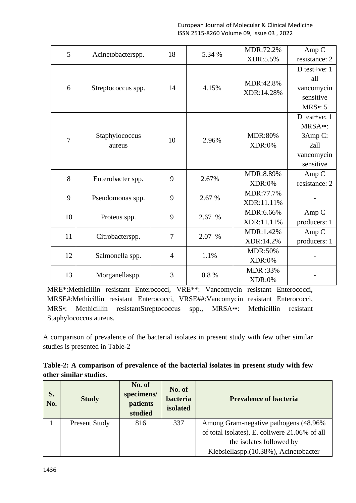| 5              |                          | 18             | 5.34 % | MDR:72.2%                       | Amp C                                                                   |
|----------------|--------------------------|----------------|--------|---------------------------------|-------------------------------------------------------------------------|
|                | Acinetobacterspp.        |                |        | XDR:5.5%                        | resistance: 2                                                           |
| 6              | Streptococcus spp.       | 14             | 4.15%  | MDR:42.8%<br>XDR:14.28%         | D test+ve: $1$<br>all<br>vancomycin<br>sensitive<br>$MRS$ : 5           |
| $\overline{7}$ | Staphylococcus<br>aureus | 10             | 2.96%  | <b>MDR:80%</b><br><b>XDR:0%</b> | D test+ve: $1$<br>MRSA--:<br>3Amp C:<br>2all<br>vancomycin<br>sensitive |
| 8              | Enterobacter spp.        | 9              | 2.67%  | MDR:8.89%<br><b>XDR:0%</b>      | Amp C<br>resistance: 2                                                  |
| 9              | Pseudomonas spp.         | 9              | 2.67 % | MDR:77.7%<br>XDR:11.11%         |                                                                         |
| 10             | Proteus spp.             | 9              | 2.67 % | MDR:6.66%<br>XDR:11.11%         | Amp C<br>producers: 1                                                   |
| 11             | Citrobacterspp.          | 7              | 2.07 % | MDR:1.42%<br>XDR:14.2%          | Amp <sub>C</sub><br>producers: 1                                        |
| 12             | Salmonella spp.          | $\overline{4}$ | 1.1%   | <b>MDR:50%</b><br><b>XDR:0%</b> |                                                                         |
| 13             | Morganellaspp.           | 3              | 0.8%   | MDR:33%<br><b>XDR:0%</b>        |                                                                         |

MRE\*:Methicillin resistant Enterococci, VRE\*\*: Vancomycin resistant Enterococci, MRSE#:Methicillin resistant Enterococci, VRSE##:Vancomycin resistant Enterococci, MRS▪: Methicillin resistantStreptococcus spp., MRSA▪▪: Methicillin resistant Staphylococcus aureus.

A comparison of prevalence of the bacterial isolates in present study with few other similar studies is presented in Table-2

| Table-2: A comparison of prevalence of the bacterial isolates in present study with few |  |  |
|-----------------------------------------------------------------------------------------|--|--|
| other similar studies.                                                                  |  |  |

| S.<br>No. | <b>Study</b>         | No. of<br>specimens/<br>patients<br>studied | No. of<br>bacteria<br>isolated | <b>Prevalence of bacteria</b>                 |
|-----------|----------------------|---------------------------------------------|--------------------------------|-----------------------------------------------|
|           | <b>Present Study</b> | 816                                         | 337                            | Among Gram-negative pathogens (48.96%)        |
|           |                      |                                             |                                | of total isolates), E. coliwere 21.06% of all |
|           |                      |                                             |                                | the isolates followed by                      |
|           |                      |                                             |                                | Klebsiellaspp.(10.38%), Acinetobacter         |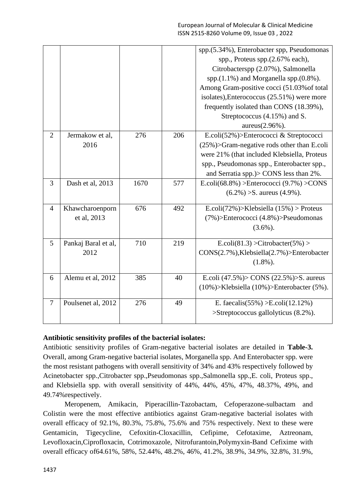|                |                                |      |     | spp.(5.34%), Enterobacter spp, Pseudomonas<br>spp., Proteus spp.(2.67% each),<br>Citrobacterspp (2.07%), Salmonella<br>spp. $(1.1\%)$ and Morganella spp. $(0.8\%)$ .<br>Among Gram-positive cocci (51.03% of total<br>isolates), Enterococcus (25.51%) were more<br>frequently isolated than CONS (18.39%),<br>Streptococcus (4.15%) and S.<br>aureus(2.96%). |
|----------------|--------------------------------|------|-----|----------------------------------------------------------------------------------------------------------------------------------------------------------------------------------------------------------------------------------------------------------------------------------------------------------------------------------------------------------------|
| $\overline{2}$ | Jermakow et al,<br>2016        | 276  | 206 | E.coli(52%)>Enterococci & Streptococci<br>$(25\%)$ >Gram-negative rods other than E.coli<br>were 21% (that included Klebsiella, Proteus<br>spp., Pseudomonas spp., Enterobacter spp.,<br>and Serratia spp.)> CONS less than 2%.                                                                                                                                |
| 3              | Dash et al, 2013               | 1670 | 577 | E.coli(68.8%) > Enterococci $(9.7\%)$ > CONS<br>$(6.2\%) > S$ . aureus $(4.9\%)$ .                                                                                                                                                                                                                                                                             |
| $\overline{4}$ | Khawcharoenporn<br>et al, 2013 | 676  | 492 | E.coli(72%)>Klebsiella (15%) > Proteus<br>$(7\%)$ >Enterococci $(4.8\%)$ >Pseudomonas<br>$(3.6\%)$ .                                                                                                                                                                                                                                                           |
| 5              | Pankaj Baral et al,<br>2012    | 710  | 219 | E.coli(81.3) > Citrobacter(5%) ><br>CONS(2.7%), Klebsiella(2.7%) > Enterobacter<br>$(1.8\%)$ .                                                                                                                                                                                                                                                                 |
| 6              | Alemu et al, 2012              | 385  | 40  | E.coli $(47.5\%)$ CONS $(22.5\%)$ S. aureus<br>(10%)>Klebsiella (10%)>Enterobacter (5%).                                                                                                                                                                                                                                                                       |
| $\tau$         | Poulsenet al, 2012             | 276  | 49  | E. faecalis(55%) > E.coli(12.12%)<br>>Streptococcus gallolyticus (8.2%).                                                                                                                                                                                                                                                                                       |

# **Antibiotic sensitivity profiles of the bacterial isolates:**

Antibiotic sensitivity profiles of Gram-negative bacterial isolates are detailed in **Table-3.**  Overall, among Gram-negative bacterial isolates, Morganella spp. And Enterobacter spp. were the most resistant pathogens with overall sensitivity of 34% and 43% respectively followed by Acinetobacter spp.,Citrobacter spp.,Pseudomonas spp.,Salmonella spp.,E. coli, Proteus spp., and Klebsiella spp. with overall sensitivity of 44%, 44%, 45%, 47%, 48.37%, 49%, and 49.74%respectively.

Meropenem, Amikacin, Piperacillin-Tazobactam, Cefoperazone-sulbactam and Colistin were the most effective antibiotics against Gram-negative bacterial isolates with overall efficacy of 92.1%, 80.3%, 75.8%, 75.6% and 75% respectively. Next to these were Gentamicin, Tigecycline, Cefoxitin-Cloxacillin, Cefipime, Cefotaxime, Aztreonam, Levofloxacin,Ciprofloxacin, Cotrimoxazole, Nitrofurantoin,Polymyxin-Band Cefixime with overall efficacy of64.61%, 58%, 52.44%, 48.2%, 46%, 41.2%, 38.9%, 34.9%, 32.8%, 31.9%,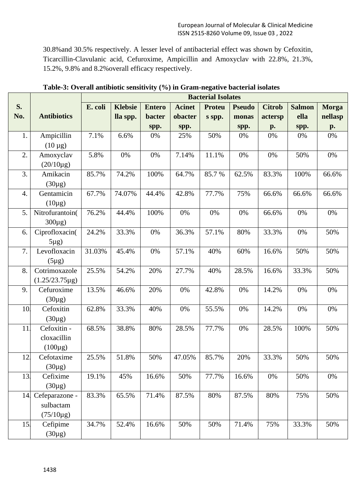30.8%and 30.5% respectively. A lesser level of antibacterial effect was shown by Cefoxitin, Ticarcillin-Clavulanic acid, Cefuroxime, Ampicillin and Amoxyclav with 22.8%, 21.3%, 15.2%, 9.8% and 8.2%overall efficacy respectively.

|                    |                     |         |                |               |               | <b>Bacterial Isolates</b> |               |               |               |              |
|--------------------|---------------------|---------|----------------|---------------|---------------|---------------------------|---------------|---------------|---------------|--------------|
| S.                 |                     | E. coli | <b>Klebsie</b> | <b>Entero</b> | <b>Acinet</b> | <b>Proteu</b>             | <b>Pseudo</b> | <b>Citrob</b> | <b>Salmon</b> | <b>Morga</b> |
| No.                | <b>Antibiotics</b>  |         | lla spp.       | bacter        | obacter       | s spp.                    | monas         | actersp       | ella          | nellasp      |
|                    |                     |         |                | spp.          | spp.          |                           | spp.          | p.            | spp.          | p.           |
| 1.                 | Ampicillin          | 7.1%    | 6.6%           | 0%            | 25%           | 50%                       | 0%            | 0%            | 0%            | 0%           |
|                    | $(10 \,\mu g)$      |         |                |               |               |                           |               |               |               |              |
| 2.                 | Amoxyclav           | 5.8%    | 0%             | 0%            | 7.14%         | 11.1%                     | 0%            | 0%            | 50%           | 0%           |
|                    | $(20/10\mu g)$      |         |                |               |               |                           |               |               |               |              |
| 3.                 | Amikacin            | 85.7%   | 74.2%          | 100%          | 64.7%         | 85.7%                     | 62.5%         | 83.3%         | 100%          | 66.6%        |
|                    | $(30\mu g)$         |         |                |               |               |                           |               |               |               |              |
| $\boldsymbol{4}$ . | Gentamicin          | 67.7%   | 74.07%         | 44.4%         | 42.8%         | 77.7%                     | 75%           | 66.6%         | 66.6%         | 66.6%        |
|                    | $(10\mu g)$         |         |                |               |               |                           |               |               |               |              |
| 5.                 | Nitrofurantoin(     | 76.2%   | 44.4%          | 100%          | 0%            | 0%                        | 0%            | 66.6%         | 0%            | 0%           |
|                    | $300\mu$ g)         |         |                |               |               |                           |               |               |               |              |
| 6.                 | Ciprofloxacin(      | 24.2%   | 33.3%          | 0%            | 36.3%         | 57.1%                     | 80%           | 33.3%         | 0%            | 50%          |
|                    | $5\mu$ g)           |         |                |               |               |                           |               |               |               |              |
| 7.                 | Levofloxacin        | 31.03%  | 45.4%          | 0%            | 57.1%         | 40%                       | 60%           | 16.6%         | 50%           | 50%          |
|                    | $(5\mu g)$          |         |                |               |               |                           |               |               |               |              |
| 8.                 | Cotrimoxazole       | 25.5%   | 54.2%          | 20%           | 27.7%         | 40%                       | 28.5%         | 16.6%         | 33.3%         | 50%          |
|                    | $(1.25/23.75\mu g)$ |         |                |               |               |                           |               |               |               |              |
| 9.                 | Cefuroxime          | 13.5%   | 46.6%          | 20%           | 0%            | 42.8%                     | 0%            | 14.2%         | 0%            | 0%           |
|                    | $(30\mu g)$         |         |                |               |               |                           |               |               |               |              |
| 10.                | Cefoxitin           | 62.8%   | 33.3%          | 40%           | 0%            | 55.5%                     | 0%            | 14.2%         | 0%            | 0%           |
|                    | $(30\mu g)$         |         |                |               |               |                           |               |               |               |              |
| 11                 | Cefoxitin -         | 68.5%   | 38.8%          | 80%           | 28.5%         | 77.7%                     | 0%            | 28.5%         | 100%          | 50%          |
|                    | cloxacillin         |         |                |               |               |                           |               |               |               |              |
|                    | $(100\mu g)$        |         |                |               |               |                           |               |               |               |              |
| 12.                | Cefotaxime          | 25.5%   | 51.8%          | 50%           | 47.05%        | 85.7%                     | 20%           | 33.3%         | 50%           | 50%          |
|                    | $(30\mu g)$         |         |                |               |               |                           |               |               |               |              |
| 13.                | Cefixime            | 19.1%   | 45%            | 16.6%         | 50%           | 77.7%                     | 16.6%         | 0%            | 50%           | 0%           |
|                    | $(30\mu g)$         |         |                |               |               |                           |               |               |               |              |
| 14 <sup>1</sup>    | Cefeparazone -      | 83.3%   | 65.5%          | 71.4%         | 87.5%         | 80%                       | 87.5%         | 80%           | 75%           | 50%          |
|                    | sulbactam           |         |                |               |               |                           |               |               |               |              |
|                    | $(75/10 \mu g)$     |         |                |               |               |                           |               |               |               |              |
| 15.                | Cefipime            | 34.7%   | 52.4%          | 16.6%         | 50%           | 50%                       | 71.4%         | 75%           | 33.3%         | 50%          |
|                    | $(30\mu g)$         |         |                |               |               |                           |               |               |               |              |

**Table-3: Overall antibiotic sensitivity (%) in Gram-negative bacterial isolates**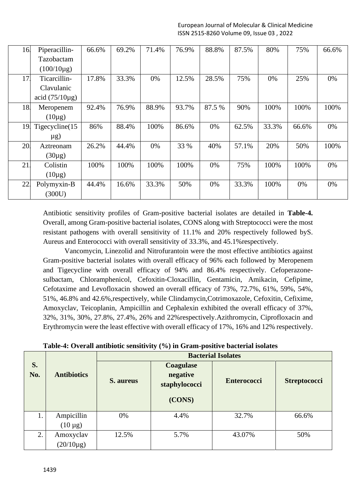| 16. | Piperacillin-       | 66.6% | 69.2% | 71.4% | 76.9% | 88.8%  | 87.5% | 80%   | 75%   | 66.6% |
|-----|---------------------|-------|-------|-------|-------|--------|-------|-------|-------|-------|
|     | Tazobactam          |       |       |       |       |        |       |       |       |       |
|     | $(100/10\mu g)$     |       |       |       |       |        |       |       |       |       |
| 17. | Ticarcillin-        | 17.8% | 33.3% | 0%    | 12.5% | 28.5%  | 75%   | 0%    | 25%   | 0%    |
|     | Clavulanic          |       |       |       |       |        |       |       |       |       |
|     | acid $(75/10\mu$ g) |       |       |       |       |        |       |       |       |       |
| 18. | Meropenem           | 92.4% | 76.9% | 88.9% | 93.7% | 87.5 % | 90%   | 100%  | 100%  | 100%  |
|     | $(10\mu g)$         |       |       |       |       |        |       |       |       |       |
| 19. | Tigecycline $(15$   | 86%   | 88.4% | 100%  | 86.6% | 0%     | 62.5% | 33.3% | 66.6% | 0%    |
|     | $\mu$ g)            |       |       |       |       |        |       |       |       |       |
|     |                     |       |       |       |       |        |       |       |       |       |
| 20. | Aztreonam           | 26.2% | 44.4% | 0%    | 33 %  | 40%    | 57.1% | 20%   | 50%   | 100%  |
|     | $(30\mu g)$         |       |       |       |       |        |       |       |       |       |
| 21. | Colistin            | 100%  | 100%  | 100%  | 100%  | 0%     | 75%   | 100%  | 100%  | 0%    |
|     | $(10\mu g)$         |       |       |       |       |        |       |       |       |       |
| 22. | Polymyxin-B         | 44.4% | 16.6% | 33.3% | 50%   | 0%     | 33.3% | 100%  | 0%    | 0%    |

Antibiotic sensitivity profiles of Gram-positive bacterial isolates are detailed in **Table-4.**  Overall, among Gram-positive bacterial isolates, CONS along with Streptococci were the most resistant pathogens with overall sensitivity of 11.1% and 20% respectively followed byS. Aureus and Enterococci with overall sensitivity of 33.3%, and 45.1%respectively.

Vancomycin, Linezolid and Nitrofurantoin were the most effective antibiotics against Gram-positive bacterial isolates with overall efficacy of 96% each followed by Meropenem and Tigecycline with overall efficacy of 94% and 86.4% respectively. Cefoperazonesulbactam, Chloramphenicol, Cefoxitin-Cloxacillin, Gentamicin, Amikacin, Cefipime, Cefotaxime and Levofloxacin showed an overall efficacy of 73%, 72.7%, 61%, 59%, 54%, 51%, 46.8% and 42.6%,respectively, while Clindamycin,Cotrimoxazole, Cefoxitin, Cefixime, Amoxyclav, Teicoplanin, Ampicillin and Cephalexin exhibited the overall efficacy of 37%, 32%, 31%, 30%, 27.8%, 27.4%, 26% and 22%respectively.Azithromycin, Ciprofloxacin and Erythromycin were the least effective with overall efficacy of 17%, 16% and 12% respectively.

| Table-4: Overall antibiotic sensitivity (%) in Gram-positive bacterial isolates |  |  |
|---------------------------------------------------------------------------------|--|--|
|---------------------------------------------------------------------------------|--|--|

|           |                    |           |                                                         | <b>Bacterial Isolates</b> |                     |
|-----------|--------------------|-----------|---------------------------------------------------------|---------------------------|---------------------|
| S.<br>No. | <b>Antibiotics</b> | S. aureus | <b>Coagulase</b><br>negative<br>staphylococci<br>(CONS) | <b>Enterococci</b>        | <b>Streptococci</b> |
| 1.        | Ampicillin         | 0%        | 4.4%                                                    | 32.7%                     | 66.6%               |
|           | $(10 \mu g)$       |           |                                                         |                           |                     |
| 2.        | Amoxyclav          | 12.5%     | 5.7%                                                    | 43.07%                    | 50%                 |
|           | $(20/10 \mu g)$    |           |                                                         |                           |                     |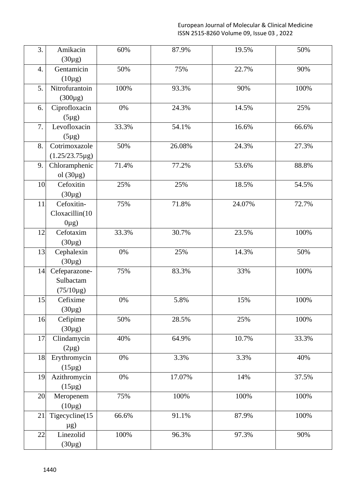European Journal of Molecular & Clinical Medicine ISSN 2515-8260 Volume 09, Issue 03 , 2022

| $(30\mu g)$<br>Gentamicin<br>50%<br>75%<br>22.7%<br>90%<br>4.<br>$(10\mu g)$<br>5.<br>Nitrofurantoin<br>100%<br>93.3%<br>100%<br>90%<br>$(300\mu g)$<br>Ciprofloxacin<br>24.3%<br>25%<br>0%<br>14.5%<br>6.<br>$(5\mu g)$<br>7.<br>Levofloxacin<br>54.1%<br>33.3%<br>16.6%<br>66.6%<br>$(5\mu g)$<br>Cotrimoxazole<br>8.<br>50%<br>26.08%<br>24.3%<br>27.3%<br>$(1.25/23.75\mu g)$<br>Chloramphenic<br>71.4%<br>77.2%<br>53.6%<br>88.8%<br>9. | 3. | Amikacin | 60% | 87.9% | 19.5% | 50% |
|----------------------------------------------------------------------------------------------------------------------------------------------------------------------------------------------------------------------------------------------------------------------------------------------------------------------------------------------------------------------------------------------------------------------------------------------|----|----------|-----|-------|-------|-----|
|                                                                                                                                                                                                                                                                                                                                                                                                                                              |    |          |     |       |       |     |
|                                                                                                                                                                                                                                                                                                                                                                                                                                              |    |          |     |       |       |     |
|                                                                                                                                                                                                                                                                                                                                                                                                                                              |    |          |     |       |       |     |
|                                                                                                                                                                                                                                                                                                                                                                                                                                              |    |          |     |       |       |     |
|                                                                                                                                                                                                                                                                                                                                                                                                                                              |    |          |     |       |       |     |
|                                                                                                                                                                                                                                                                                                                                                                                                                                              |    |          |     |       |       |     |
|                                                                                                                                                                                                                                                                                                                                                                                                                                              |    |          |     |       |       |     |
|                                                                                                                                                                                                                                                                                                                                                                                                                                              |    |          |     |       |       |     |
|                                                                                                                                                                                                                                                                                                                                                                                                                                              |    |          |     |       |       |     |
|                                                                                                                                                                                                                                                                                                                                                                                                                                              |    |          |     |       |       |     |
|                                                                                                                                                                                                                                                                                                                                                                                                                                              |    |          |     |       |       |     |
|                                                                                                                                                                                                                                                                                                                                                                                                                                              |    |          |     |       |       |     |
| ol $(30\mu g)$                                                                                                                                                                                                                                                                                                                                                                                                                               |    |          |     |       |       |     |
| Cefoxitin<br>25%<br>25%<br>18.5%<br>54.5%<br>10.                                                                                                                                                                                                                                                                                                                                                                                             |    |          |     |       |       |     |
| $(30\mu g)$                                                                                                                                                                                                                                                                                                                                                                                                                                  |    |          |     |       |       |     |
| Cefoxitin-<br>75%<br>72.7%<br>71.8%<br>24.07%<br>11                                                                                                                                                                                                                                                                                                                                                                                          |    |          |     |       |       |     |
| Cloxacillin(10                                                                                                                                                                                                                                                                                                                                                                                                                               |    |          |     |       |       |     |
| $0\mu$ g)                                                                                                                                                                                                                                                                                                                                                                                                                                    |    |          |     |       |       |     |
| Cefotaxim<br>33.3%<br>30.7%<br>23.5%<br>100%<br>12                                                                                                                                                                                                                                                                                                                                                                                           |    |          |     |       |       |     |
| $(30\mu g)$                                                                                                                                                                                                                                                                                                                                                                                                                                  |    |          |     |       |       |     |
| 25%<br>Cephalexin<br>14.3%<br>50%<br>13.<br>0%                                                                                                                                                                                                                                                                                                                                                                                               |    |          |     |       |       |     |
| $(30\mu g)$                                                                                                                                                                                                                                                                                                                                                                                                                                  |    |          |     |       |       |     |
| 83.3%<br>33%<br>Cefeparazone-<br>75%<br>100%<br>14.                                                                                                                                                                                                                                                                                                                                                                                          |    |          |     |       |       |     |
| Sulbactam                                                                                                                                                                                                                                                                                                                                                                                                                                    |    |          |     |       |       |     |
| $(75/10 \mu g)$                                                                                                                                                                                                                                                                                                                                                                                                                              |    |          |     |       |       |     |
| Cefixime<br>5.8%<br>15%<br>100%<br>15<br>$0\%$                                                                                                                                                                                                                                                                                                                                                                                               |    |          |     |       |       |     |
| $(30\mu g)$                                                                                                                                                                                                                                                                                                                                                                                                                                  |    |          |     |       |       |     |
| Cefipime<br>50%<br>100%<br>16.<br>28.5%<br>25%                                                                                                                                                                                                                                                                                                                                                                                               |    |          |     |       |       |     |
| $(30\mu g)$                                                                                                                                                                                                                                                                                                                                                                                                                                  |    |          |     |       |       |     |
| 17.<br>Clindamycin<br>40%<br>64.9%<br>10.7%<br>33.3%                                                                                                                                                                                                                                                                                                                                                                                         |    |          |     |       |       |     |
| $(2\mu g)$                                                                                                                                                                                                                                                                                                                                                                                                                                   |    |          |     |       |       |     |
| 3.3%<br>18.<br>Erythromycin<br>0%<br>3.3%<br>40%                                                                                                                                                                                                                                                                                                                                                                                             |    |          |     |       |       |     |
| $(15\mu g)$                                                                                                                                                                                                                                                                                                                                                                                                                                  |    |          |     |       |       |     |
| 17.07%<br>37.5%<br>Azithromycin<br>0%<br>14%<br>19.                                                                                                                                                                                                                                                                                                                                                                                          |    |          |     |       |       |     |
| $(15\mu g)$                                                                                                                                                                                                                                                                                                                                                                                                                                  |    |          |     |       |       |     |
| 100%<br>20.<br>Meropenem<br>75%<br>100%<br>100%                                                                                                                                                                                                                                                                                                                                                                                              |    |          |     |       |       |     |
| $(10\mu g)$                                                                                                                                                                                                                                                                                                                                                                                                                                  |    |          |     |       |       |     |
| Tigecycline(15<br>66.6%<br>91.1%<br>87.9%<br>100%<br>21                                                                                                                                                                                                                                                                                                                                                                                      |    |          |     |       |       |     |
| $\mu$ g)                                                                                                                                                                                                                                                                                                                                                                                                                                     |    |          |     |       |       |     |
| 96.3%<br>Linezolid<br>100%<br>97.3%<br>22.<br>90%                                                                                                                                                                                                                                                                                                                                                                                            |    |          |     |       |       |     |
| $(30\mu g)$                                                                                                                                                                                                                                                                                                                                                                                                                                  |    |          |     |       |       |     |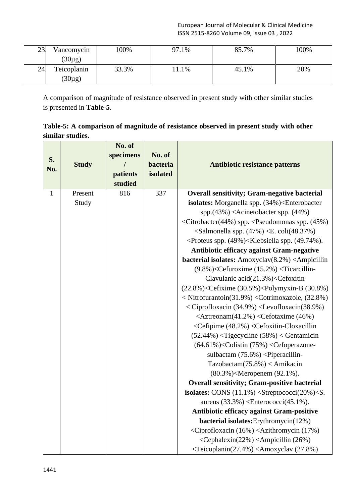| 23  | Vancomycin  | 100%  | 97<br>$1.1\%$ | 85.7% | 100% |
|-----|-------------|-------|---------------|-------|------|
|     | $(30\mu g)$ |       |               |       |      |
| 24. | Teicoplanin | 33.3% | 1.1%          | 45.1% | 20%  |
|     | $(30\mu g)$ |       |               |       |      |

A comparison of magnitude of resistance observed in present study with other similar studies is presented in **Table-5**.

**Table-5: A comparison of magnitude of resistance observed in present study with other similar studies.**

|              |              | No. of    |          |                                                                                                |
|--------------|--------------|-----------|----------|------------------------------------------------------------------------------------------------|
|              |              | specimens | No. of   |                                                                                                |
| S.           | <b>Study</b> |           | bacteria | Antibiotic resistance patterns                                                                 |
| No.          |              | patients  | isolated |                                                                                                |
|              |              | studied   |          |                                                                                                |
| $\mathbf{1}$ | Present      | 816       | 337      | <b>Overall sensitivity; Gram-negative bacterial</b>                                            |
|              | Study        |           |          | isolates: Morganella spp. (34%) <enterobacter< td=""></enterobacter<>                          |
|              |              |           |          | spp.(43%) <acinetobacter (44%)<="" spp.="" td=""></acinetobacter>                              |
|              |              |           |          | <citrobacter(44%) (45%)<="" <pseudomonas="" spp.="" td=""></citrobacter(44%)>                  |
|              |              |           |          | $\le$ Salmonella spp. (47%) $\le$ E. coli(48.37%)                                              |
|              |              |           |          | <proteus (49%)<klebsiella="" (49.74%).<="" spp.="" td=""></proteus>                            |
|              |              |           |          | <b>Antibiotic efficacy against Gram-negative</b>                                               |
|              |              |           |          | bacterial isolates: Amoxyclav(8.2%) <ampicillin< td=""></ampicillin<>                          |
|              |              |           |          | $(9.8\%)$ <cefuroxime <math="">(15.2\%)<ticarcillin-< td=""></ticarcillin-<></cefuroxime>      |
|              |              |           |          | Clavulanic acid(21.3%) <cefoxitin< td=""></cefoxitin<>                                         |
|              |              |           |          | $(22.8\%)$ <cefixime <math="">(30.5\%)<polymyxin-b<math>(30.8\%)</polymyxin-b<math></cefixime> |
|              |              |           |          | < Nitrofurantoin(31.9%) < Cotrimoxazole, (32.8%)                                               |
|              |              |           |          | < Ciprofloxacin (34.9%) < Levofloxacin (38.9%)                                                 |
|              |              |           |          | <aztreonam(41.2%) (46%)<="" <cefotaxime="" td=""></aztreonam(41.2%)>                           |
|              |              |           |          | <cefipime (48.2%)="" <cefoxitin-cloxacillin<="" td=""></cefipime>                              |
|              |              |           |          | $(52.44%)$ < Tigecycline $(58%)$ < Gentamicin                                                  |
|              |              |           |          | $(64.61\%)$ <colistin <math="">(75\%)<cefoperazone-< td=""></cefoperazone-<></colistin>        |
|              |              |           |          | sulbactam $(75.6%)$ <piperacillin-< td=""></piperacillin-<>                                    |
|              |              |           |          | Tazobactam $(75.8\%) <$ Amikacin                                                               |
|              |              |           |          | (80.3%) <meropenem (92.1%).<="" td=""></meropenem>                                             |
|              |              |           |          | <b>Overall sensitivity; Gram-positive bacterial</b>                                            |
|              |              |           |          | isolates: CONS $(11.1\%)$ < Streptococci $(20\%)$ < S.                                         |
|              |              |           |          | aureus $(33.3\%)$ <enterococci<math>(45.1\%).</enterococci<math>                               |
|              |              |           |          | Antibiotic efficacy against Gram-positive                                                      |
|              |              |           |          | bacterial isolates: Erythromycin(12%)                                                          |
|              |              |           |          | <ciprofloxacin (16%)="" (17%)<="" <azithromycin="" td=""></ciprofloxacin>                      |
|              |              |           |          | <cephalexin(22%) (26%)<="" <ampicillin="" td=""></cephalexin(22%)>                             |
|              |              |           |          | <teicoplanin(27.4%) (27.8%)<="" <amoxyclav="" td=""></teicoplanin(27.4%)>                      |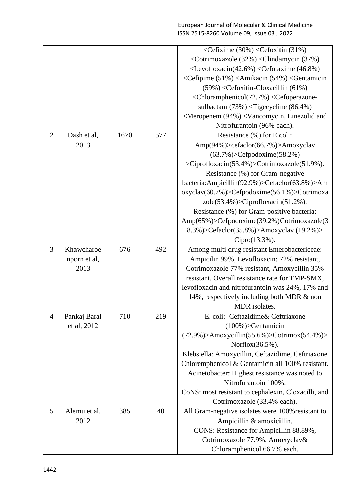|                |              |      |     | <cefixime (30%)="" (31%)<="" <cefoxitin="" th=""></cefixime>                 |
|----------------|--------------|------|-----|------------------------------------------------------------------------------|
|                |              |      |     | <cotrimoxazole (32%)="" (37%)<="" <="" clindamycin="" td=""></cotrimoxazole> |
|                |              |      |     | $\langle Levofloxacin(42.6%) \langle Cefotaxime (46.8%) \rangle$             |
|                |              |      |     | <cefipime (51%)="" (54%)="" <amikacin="" <gentamicin<="" td=""></cefipime>   |
|                |              |      |     | $(59\%) <$ Cefoxitin-Cloxacillin $(61\%)$                                    |
|                |              |      |     | <chloramphenicol(72.7%) <cefoperazone-<="" td=""></chloramphenicol(72.7%)>   |
|                |              |      |     | sulbactam $(73%)$ < Tigecycline $(86.4%)$                                    |
|                |              |      |     | <meropenem (94%)="" <vancomycin,="" and<="" linezolid="" td=""></meropenem>  |
|                |              |      |     | Nitrofurantoin (96% each).                                                   |
| $\overline{2}$ | Dash et al,  | 1670 | 577 | Resistance (%) for E.coli:                                                   |
|                | 2013         |      |     | Amp(94%)>cefaclor(66.7%)>Amoxyclav                                           |
|                |              |      |     | $(63.7\%)$ >Cefpodoxime $(58.2\%)$                                           |
|                |              |      |     | >Ciprofloxacin(53.4%)>Cotrimoxazole(51.9%).                                  |
|                |              |      |     | Resistance (%) for Gram-negative                                             |
|                |              |      |     | bacteria:Ampicillin(92.9%)>Cefaclor(63.8%)>Am                                |
|                |              |      |     | oxyclav(60.7%)>Cefpodoxime(56.1%)>Cotrimoxa                                  |
|                |              |      |     | $zole(53.4\%)$ >Ciprofloxacin(51.2%).                                        |
|                |              |      |     | Resistance (%) for Gram-positive bacteria:                                   |
|                |              |      |     | Amp(65%)>Cefpodoxime(39.2%)Cotrimoxazole(3                                   |
|                |              |      |     | 8.3%)>Cefaclor(35.8%)>Amoxyclav (19.2%)>                                     |
|                |              |      |     | Cipro(13.3%).                                                                |
| 3              | Khawcharoe   | 676  | 492 | Among multi drug resistant Enterobactericeae:                                |
|                | nporn et al, |      |     | Ampicilin 99%, Levofloxacin: 72% resistant,                                  |
|                | 2013         |      |     | Cotrimoxazole 77% resistant, Amoxycillin 35%                                 |
|                |              |      |     | resistant. Overall resistance rate for TMP-SMX,                              |
|                |              |      |     | levofloxacin and nitrofurantoin was 24%, 17% and                             |
|                |              |      |     | 14%, respectively including both MDR & non                                   |
|                |              |      |     | MDR isolates.                                                                |
| $\overline{4}$ | Pankaj Baral | 710  | 219 | E. coli: Ceftazidime& Ceftriaxone                                            |
|                | et al, 2012  |      |     | $(100\%)$ >Gentamicin                                                        |
|                |              |      |     | $(72.9\%)$ >Amoxycillin(55.6%)>Cotrimox(54.4%)>                              |
|                |              |      |     | Norflox(36.5%).                                                              |
|                |              |      |     | Klebsiella: Amoxycillin, Ceftazidime, Ceftriaxone                            |
|                |              |      |     | Chloremphenicol & Gentamicin all 100% resistant.                             |
|                |              |      |     | Acinetobacter: Highest resistance was noted to                               |
|                |              |      |     | Nitrofurantoin 100%.                                                         |
|                |              |      |     | CoNS: most resistant to cephalexin, Cloxacilli, and                          |
|                |              |      |     | Cotrimoxazole (33.4% each).                                                  |
| 5              | Alemu et al, | 385  | 40  | All Gram-negative isolates were 100% resistant to                            |
|                | 2012         |      |     | Ampicillin & amoxicillin.                                                    |
|                |              |      |     | CONS: Resistance for Ampicillin 88.89%,                                      |
|                |              |      |     | Cotrimoxazole 77.9%, Amoxyclav&                                              |
|                |              |      |     | Chloramphenicol 66.7% each.                                                  |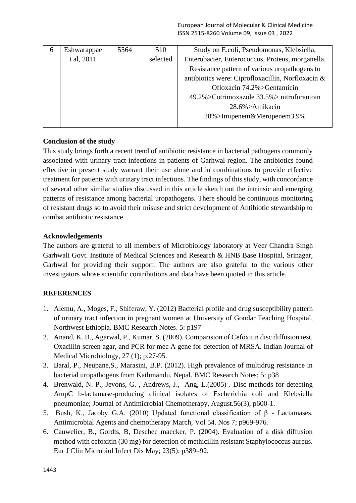| b | Eshwarappae | 5564 | 510      | Study on E.coli, Pseudomonas, Klebsiella,         |
|---|-------------|------|----------|---------------------------------------------------|
|   | t al, 2011  |      | selected | Enterobacter, Enterococcus, Proteus, morganella.  |
|   |             |      |          | Resistance pattern of various uropathogens to     |
|   |             |      |          | antibiotics were: Ciprofloxacillin, Norfloxacin & |
|   |             |      |          | Ofloxacin 74.2%>Gentamicin                        |
|   |             |      |          | 49.2%>Cotrimoxazole 33.5%> nitrofurantoin         |
|   |             |      |          | 28.6%>Amikacin                                    |
|   |             |      |          | 28%>Imipenem&Meropenem3.9%                        |
|   |             |      |          |                                                   |

## **Conclusion of the study**

This study brings forth a recent trend of antibiotic resistance in bacterial pathogens commonly associated with urinary tract infections in patients of Garhwal region. The antibiotics found effective in present study warrant their use alone and in combinations to provide effective treatment for patients with urinary tract infections. The findings of this study, with concordance of several other similar studies discussed in this article sketch out the intrinsic and emerging patterns of resistance among bacterial uropathogens. There should be continuous monitoring of resistant drugs so to avoid their misuse and strict development of Antibiotic stewardship to combat antibiotic resistance.

## **Acknowledgements**

The authors are grateful to all members of Microbiology laboratory at Veer Chandra Singh Garhwali Govt. Institute of Medical Sciences and Research & HNB Base Hospital, Srinagar, Garhwal for providing their support. The authors are also grateful to the various other investigators whose scientific contributions and data have been quoted in this article.

# **REFERENCES**

- 1. Alemu, A., Moges, F., Shiferaw, Y. (2012) Bacterial profile and drug susceptibility pattern of urinary tract infection in pregnant women at University of Gondar Teaching Hospital, Northwest Ethiopia. BMC Research Notes. 5: p197
- 2. Anand, K. B., Agarwal, P., Kumar, S. (2009). Comparision of Cefoxitin disc diffusion test, Oxacillin screen agar, and PCR for mec A gene for detection of MRSA. Indian Journal of Medical Microbiology, 27 (1); p.27-95.
- 3. Baral, P., Neupane,S., Marasini, B.P. (2012). High prevalence of multidrug resistance in bacterial uropathogens from Kathmandu, Nepal. BMC Research Notes; 5: p38
- 4. Brenwald, N. P., Jevons, G. , Andrews, J., Ang, L.(2005) . Disc methods for detecting AmpC b-lactamase-producing clinical isolates of Escherichia coli and Klebsiella pneumoniae; Journal of Antimicrobial Chemotherapy, August.56(3); p600-1.
- 5. Bush, K., Jacoby G.A. (2010) Updated functional classification of β Lactamases. Antimicrobial Agents and chemotherapy March, Vol 54. Nos 7; p969-976.
- 6. Cauwelier, B., Gordts, B, Deschee maecker, P. (2004). Evaluation of a disk diffusion method with cefoxitin (30 mg) for detection of methicillin resistant Staphylococcus aureus. Eur J Clin Microbiol Infect Dis May; 23(5): p389–92.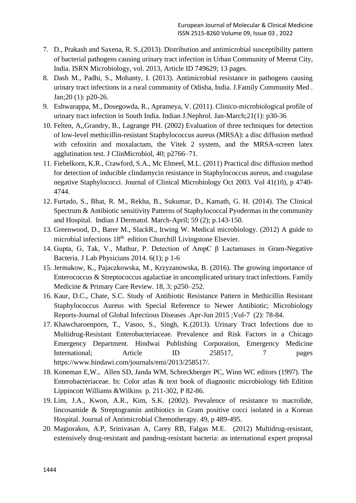- 7. D., Prakash and Saxena, R. S..(2013). Distribution and antimicrobial susceptibility pattern of bacterial pathogens causing urinary tract infection in Urban Community of Meerut City, India. ISRN Microbiology, vol. 2013, Article ID 749629; 13 pages.
- 8. Dash M., Padhi, S., Mohanty, I. (2013). Antimicrobial resistance in pathogens causing urinary tract infections in a rural community of Odisha, India. J.Family Community Med . Jan;20 (1): p20-26.
- 9. Eshwarappa, M., Dosegowda, R., Aprameya, V. (2011). Clinico-microbiological profile of urinary tract infection in South India. Indian J.Nephrol. Jan-March;21(1): p30-36
- 10. Felten, A,,Grandry, B., Lagrange PH. (2002) Evaluation of three techniques for detection of low-level methicillin-resistant Staphylococcus aureus (MRSA): a disc diffusion method with cefoxitin and moxalactam, the Vitek 2 system, and the MRSA-screen latex agglutination test. J ClinMicrobiol, 40; p2766–71.
- 11. Fiebelkorn, K.R., Crawford, S.A., Mc Elmeel, M.L. (2011) Practical disc diffusion method for detection of inducible clindamycin resistance in Staphylococcus aureus, and coagulase negative Staphylococci. Journal of Clinical Microbiology Oct 2003. Vol 41(10), p 4740- 4744.
- 12. Furtado, S., Bhat, R. M., Rekha, B., Sukumar, D., Kamath, G. H. (2014). The Clinical Spectrum & Antibiotic sensitivity Patterns of Staphylococcal Pyodermas in the community and Hospital. Indian J Dermatol. March-April; 59 (2); p.143-150.
- 13. Greenwood, D., Barer M., SlackR., Irwing W. Medical microbiology. (2012) A guide to microbial infections 18<sup>th</sup> edition Churchill Livingstone Elsevier.
- 14. Gupta, G, Tak, V., Mathur, P. Detection of AmpC β Lactamases in Gram-Negative Bacteria. J Lab Physicians 2014. 6(1); p 1-6
- 15. Jermakow, K., Pajaczkowska, M., Krzyzanowska, B. (2016). The growing importance of Enterococcus & Streptococcus agalactiae in uncomplicated urinary tract infections. Family Medicine & Primary Care Review. 18, 3; p250–252.
- 16. Kaur, D.C., Chate, S.C. Study of Antibiotic Resistance Pattern in Methicillin Resistant Staphylococcus Aureus with Special Reference to Newer Antibiotic; Microbiology Reports-Journal of Global Infectious Diseases .Apr-Jun 2015 ;Vol-7 (2): 78-84.
- 17. Khawcharoenporn, T., Vasoo, S., Singh, K.(2013). Urinary Tract Infections due to Multidrug-Resistant Enterobacteriaceae. Prevalence and Risk Factors in a Chicago Emergency Department. Hindwai Publishing Corporation, Emergency Medicine International; Article ID 258517, 7 pages https://www.hindawi.com/journals/emi/2013/258517/.
- 18. Koneman E,W., Allen SD, Janda WM, Schreckberger PC, Winn WC editors (1997). The Enterobacteriaceae. In: Color atlas & text book of diagnostic microbiology 6th Edition Lippincott Williams &Wilkins p. 211-302, P 82-86.
- 19. Lim, J.A., Kwon, A.R., Kim, S.K. (2002). Prevalence of resistance to macrolide, lincosamide & Streptogramin antibiotics in Gram positive cocci isolated in a Korean Hospital. Journal of Antimicrobial Chemotherapy. 49, p 489-495.
- 20. Magiorakos, A.P, Srinivasan A, Carey RB, Falgas M.E. (2012) Multidrug-resistant, extensively drug-resistant and pandrug-resistant bacteria: an international expert proposal